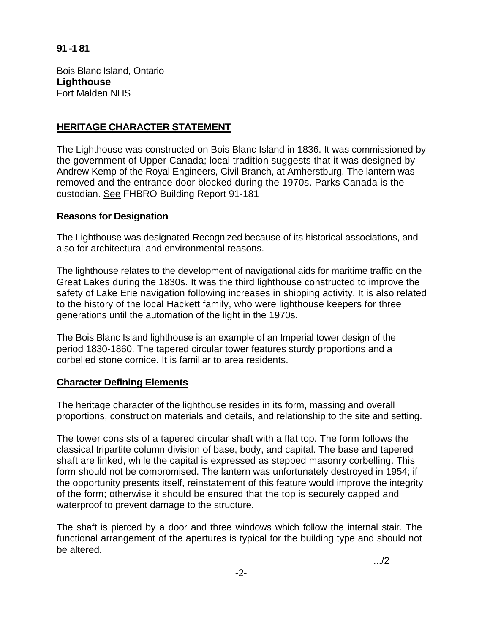### **91 -1 81**

Bois Blanc Island, Ontario **Lighthouse**  Fort Malden NHS

# **HERITAGE CHARACTER STATEMENT**

The Lighthouse was constructed on Bois Blanc Island in 1836. It was commissioned by the government of Upper Canada; local tradition suggests that it was designed by Andrew Kemp of the Royal Engineers, Civil Branch, at Amherstburg. The lantern was removed and the entrance door blocked during the 1970s. Parks Canada is the custodian. See FHBRO Building Report 91-181

### **Reasons for Designation**

The Lighthouse was designated Recognized because of its historical associations, and also for architectural and environmental reasons.

The lighthouse relates to the development of navigational aids for maritime traffic on the Great Lakes during the 1830s. It was the third lighthouse constructed to improve the safety of Lake Erie navigation following increases in shipping activity. It is also related to the history of the local Hackett family, who were lighthouse keepers for three generations until the automation of the light in the 1970s.

The Bois Blanc Island lighthouse is an example of an Imperial tower design of the period 1830-1860. The tapered circular tower features sturdy proportions and a corbelled stone cornice. It is familiar to area residents.

## **Character Defining Elements**

The heritage character of the lighthouse resides in its form, massing and overall proportions, construction materials and details, and relationship to the site and setting.

The tower consists of a tapered circular shaft with a flat top. The form follows the classical tripartite column division of base, body, and capital. The base and tapered shaft are linked, while the capital is expressed as stepped masonry corbelling. This form should not be compromised. The lantern was unfortunately destroyed in 1954; if the opportunity presents itself, reinstatement of this feature would improve the integrity of the form; otherwise it should be ensured that the top is securely capped and waterproof to prevent damage to the structure.

The shaft is pierced by a door and three windows which follow the internal stair. The functional arrangement of the apertures is typical for the building type and should not be altered.

.../2